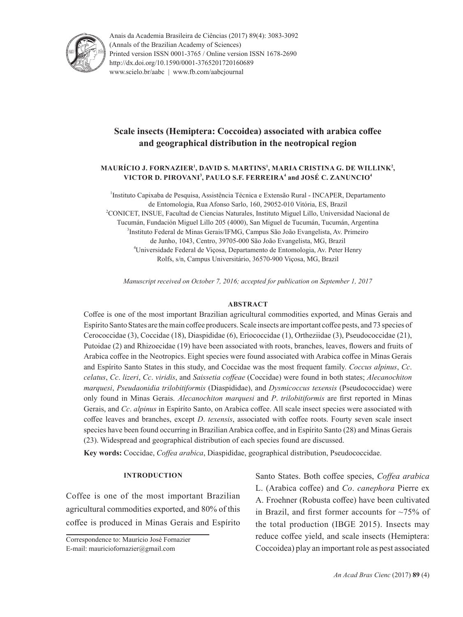

Anais da Academia Brasileira de Ciências (2017) 89(4): 3083-3092 (Annals of the Brazilian Academy of Sciences) Printed version ISSN 0001-3765 / Online version ISSN 1678-2690 http://dx.doi.org/10.1590/0001-3765201720160689 www.scielo.br/aabc | www.fb.com/aabcjournal

# **Scale insects (Hemiptera: Coccoidea) associated with arabica coffee and geographical distribution in the neotropical region**

# <code>MAURÍCIO J. FORNAZIER<sup>1</sup>, DAVID S. MARTINS<sup>1</sup>, MARIA CRISTINA G. DE WILLINK<sup>2</sup>,</code> **VICTOR D. PIROVANI<sup>3</sup> , PAULO S.F. FERREIRA<sup>4</sup> and JOSÉ C. ZANUNCIO<sup>4</sup>**

<sup>1</sup>Instituto Capixaba de Pesquisa, Assistência Técnica e Extensão Rural - INCAPER, Departamento de Entomologia, Rua Afonso Sarlo, 160, 29052-010 Vitória, ES, Brazil 2 <sup>2</sup>CONICET, INSUE, Facultad de Ciencias Naturales, Instituto Miguel Lillo, Universidad Nacional de Tucumán, Fundación Miguel Lillo 205 (4000), San Miguel de Tucumán, Tucumán, Argentina 3 <sup>3</sup>Instituto Federal de Minas Gerais/IFMG, Campus São João Evangelista, Av. Primeiro de Junho, 1043, Centro, 39705-000 São João Evangelista, MG, Brazil 4 Universidade Federal de Viçosa, Departamento de Entomologia, Av. Peter Henry Rolfs, s/n, Campus Universitário, 36570-900 Viçosa, MG, Brazil

*Manuscript received on October 7, 2016; accepted for publication on September 1, 2017*

#### **ABSTRACT**

Coffee is one of the most important Brazilian agricultural commodities exported, and Minas Gerais and Espírito Santo States are the main coffee producers. Scale insects are important coffee pests, and 73 species of Cerococcidae (3), Coccidae (18), Diaspididae (6), Eriococcidae (1), Ortheziidae (3), Pseudococcidae (21), Putoidae (2) and Rhizoecidae (19) have been associated with roots, branches, leaves, flowers and fruits of Arabica coffee in the Neotropics. Eight species were found associated with Arabica coffee in Minas Gerais and Espírito Santo States in this study, and Coccidae was the most frequent family. *Coccus alpinus*, *Cc*. *celatus*, *Cc*. *lizeri*, *Cc*. *viridis*, and *Saissetia coffeae* (Coccidae) were found in both states; *Alecanochiton marquesi*, *Pseudaonidia trilobitiformis* (Diaspididae), and *Dysmicoccus texensis* (Pseudococcidae) were only found in Minas Gerais. *Alecanochiton marquesi* and *P*. *trilobitiformis* are first reported in Minas Gerais, and *Cc*. *alpinus* in Espírito Santo, on Arabica coffee. All scale insect species were associated with coffee leaves and branches, except *D*. *texensis*, associated with coffee roots. Fourty seven scale insect species have been found occurring in Brazilian Arabica coffee, and in Espírito Santo (28) and Minas Gerais (23). Widespread and geographical distribution of each species found are discussed.

**Key words:** Coccidae, *Coffea arabica*, Diaspididae, geographical distribution, Pseudococcidae.

## **INTRODUCTION**

Coffee is one of the most important Brazilian agricultural commodities exported, and 80% of this coffee is produced in Minas Gerais and Espírito

Correspondence to: Maurício José Fornazier E-mail: mauriciofornazier@gmail.com

Santo States. Both coffee species, *Coffea arabica* L. (Arabica coffee) and *Co*. *canephora* Pierre ex A. Froehner (Robusta coffee) have been cultivated in Brazil, and first former accounts for ~75% of the total production (IBGE 2015). Insects may reduce coffee yield, and scale insects (Hemiptera: Coccoidea) play an important role as pest associated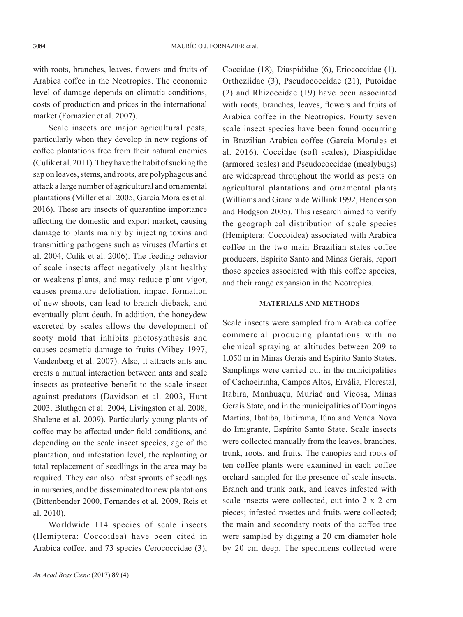with roots, branches, leaves, flowers and fruits of Arabica coffee in the Neotropics. The economic level of damage depends on climatic conditions, costs of production and prices in the international market (Fornazier et al. 2007).

Scale insects are major agricultural pests, particularly when they develop in new regions of coffee plantations free from their natural enemies (Culik et al. 2011). They have the habit of sucking the sap on leaves, stems, and roots, are polyphagous and attack a large number of agricultural and ornamental plantations (Miller et al. 2005, García Morales et al. 2016). These are insects of quarantine importance affecting the domestic and export market, causing damage to plants mainly by injecting toxins and transmitting pathogens such as viruses (Martins et al. 2004, Culik et al. 2006). The feeding behavior of scale insects affect negatively plant healthy or weakens plants, and may reduce plant vigor, causes premature defoliation, impact formation of new shoots, can lead to branch dieback, and eventually plant death. In addition, the honeydew excreted by scales allows the development of sooty mold that inhibits photosynthesis and causes cosmetic damage to fruits (Mibey 1997, Vandenberg et al. 2007). Also, it attracts ants and creats a mutual interaction between ants and scale insects as protective benefit to the scale insect against predators (Davidson et al. 2003, Hunt 2003, Bluthgen et al. 2004, Livingston et al. 2008, Shalene et al. 2009). Particularly young plants of coffee may be affected under field conditions, and depending on the scale insect species, age of the plantation, and infestation level, the replanting or total replacement of seedlings in the area may be required. They can also infest sprouts of seedlings in nurseries, and be disseminated to new plantations (Bittenbender 2000, Fernandes et al. 2009, Reis et al. 2010).

Worldwide 114 species of scale insects (Hemiptera: Coccoidea) have been cited in Arabica coffee, and 73 species Cerococcidae (3), Coccidae (18), Diaspididae (6), Eriococcidae (1), Ortheziidae (3), Pseudococcidae (21), Putoidae (2) and Rhizoecidae (19) have been associated with roots, branches, leaves, flowers and fruits of Arabica coffee in the Neotropics. Fourty seven scale insect species have been found occurring in Brazilian Arabica coffee (García Morales et al. 2016). Coccidae (soft scales), Diaspididae (armored scales) and Pseudococcidae (mealybugs) are widespread throughout the world as pests on agricultural plantations and ornamental plants (Williams and Granara de Willink 1992, Henderson and Hodgson 2005). This research aimed to verify the geographical distribution of scale species (Hemiptera: Coccoidea) associated with Arabica coffee in the two main Brazilian states coffee producers, Espírito Santo and Minas Gerais, report those species associated with this coffee species, and their range expansion in the Neotropics.

#### **MATERIALS AND METHODS**

Scale insects were sampled from Arabica coffee commercial producing plantations with no chemical spraying at altitudes between 209 to 1,050 m in Minas Gerais and Espírito Santo States. Samplings were carried out in the municipalities of Cachoeirinha, Campos Altos, Ervália, Florestal, Itabira, Manhuaçu, Muriaé and Viçosa, Minas Gerais State, and in the municipalities of Domingos Martins, Ibatiba, Ibitirama, Iúna and Venda Nova do Imigrante, Espírito Santo State. Scale insects were collected manually from the leaves, branches, trunk, roots, and fruits. The canopies and roots of ten coffee plants were examined in each coffee orchard sampled for the presence of scale insects. Branch and trunk bark, and leaves infested with scale insects were collected, cut into 2 x 2 cm pieces; infested rosettes and fruits were collected; the main and secondary roots of the coffee tree were sampled by digging a 20 cm diameter hole by 20 cm deep. The specimens collected were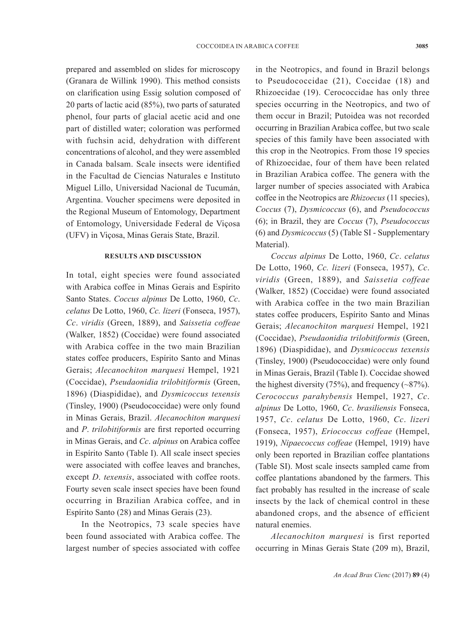prepared and assembled on slides for microscopy (Granara de Willink 1990). This method consists on clarification using Essig solution composed of 20 parts of lactic acid (85%), two parts of saturated phenol, four parts of glacial acetic acid and one part of distilled water; coloration was performed with fuchsin acid, dehydration with different concentrations of alcohol, and they were assembled in Canada balsam. Scale insects were identified in the Facultad de Ciencias Naturales e Instituto Miguel Lillo, Universidad Nacional de Tucumán, Argentina. Voucher specimens were deposited in the Regional Museum of Entomology, Department of Entomology, Universidade Federal de Viçosa (UFV) in Viçosa, Minas Gerais State, Brazil.

## **RESULTS AND DISCUSSION**

In total, eight species were found associated with Arabica coffee in Minas Gerais and Espírito Santo States. *Coccus alpinus* De Lotto, 1960, *Cc*. *celatus* De Lotto, 1960, *Cc. lizeri* (Fonseca, 1957), *Cc*. *viridis* (Green, 1889), and *Saissetia coffeae* (Walker, 1852) (Coccidae) were found associated with Arabica coffee in the two main Brazilian states coffee producers, Espírito Santo and Minas Gerais; *Alecanochiton marquesi* Hempel, 1921 (Coccidae), *Pseudaonidia trilobitiformis* (Green, 1896) (Diaspididae), and *Dysmicoccus texensis*  (Tinsley, 1900) (Pseudococcidae) were only found in Minas Gerais, Brazil. *Alecanochiton marquesi* and *P*. *trilobitiformis* are first reported occurring in Minas Gerais, and *Cc*. *alpinus* on Arabica coffee in Espírito Santo (Table I). All scale insect species were associated with coffee leaves and branches, except *D*. *texensis*, associated with coffee roots. Fourty seven scale insect species have been found occurring in Brazilian Arabica coffee, and in Espírito Santo (28) and Minas Gerais (23).

In the Neotropics, 73 scale species have been found associated with Arabica coffee. The largest number of species associated with coffee

in the Neotropics, and found in Brazil belongs to Pseudococcidae (21), Coccidae (18) and Rhizoecidae (19). Cerococcidae has only three species occurring in the Neotropics, and two of them occur in Brazil; Putoidea was not recorded occurring in Brazilian Arabica coffee, but two scale species of this family have been associated with this crop in the Neotropics. From those 19 species of Rhizoecidae, four of them have been related in Brazilian Arabica coffee. The genera with the larger number of species associated with Arabica coffee in the Neotropics are *Rhizoecus* (11 species), *Coccus* (7), *Dysmicoccus* (6), and *Pseudococcus* (6); in Brazil, they are *Coccus* (7), *Pseudococcus* (6) and *Dysmicoccus* (5) (Table SI - Supplementary Material).

*Coccus alpinus* De Lotto, 1960, *Cc*. *celatus* De Lotto, 1960, *Cc. lizeri* (Fonseca, 1957), *Cc*. *viridis* (Green, 1889), and *Saissetia coffeae* (Walker, 1852) (Coccidae) were found associated with Arabica coffee in the two main Brazilian states coffee producers, Espírito Santo and Minas Gerais; *Alecanochiton marquesi* Hempel, 1921 (Coccidae), *Pseudaonidia trilobitiformis* (Green, 1896) (Diaspididae), and *Dysmicoccus texensis*  (Tinsley, 1900) (Pseudococcidae) were only found in Minas Gerais, Brazil (Table I). Coccidae showed the highest diversity  $(75%)$ , and frequency  $(-87%)$ . *Cerococcus parahybensis* Hempel, 1927, *Cc*. *alpinus* De Lotto, 1960, *Cc*. *brasiliensis* Fonseca, 1957, *Cc*. *celatus* De Lotto, 1960, *Cc*. *lizeri*  (Fonseca, 1957), *Eriococcus coffeae* (Hempel, 1919), *Nipaecoccus coffeae* (Hempel, 1919) have only been reported in Brazilian coffee plantations (Table SI). Most scale insects sampled came from coffee plantations abandoned by the farmers. This fact probably has resulted in the increase of scale insects by the lack of chemical control in these abandoned crops, and the absence of efficient natural enemies.

*Alecanochiton marquesi* is first reported occurring in Minas Gerais State (209 m), Brazil,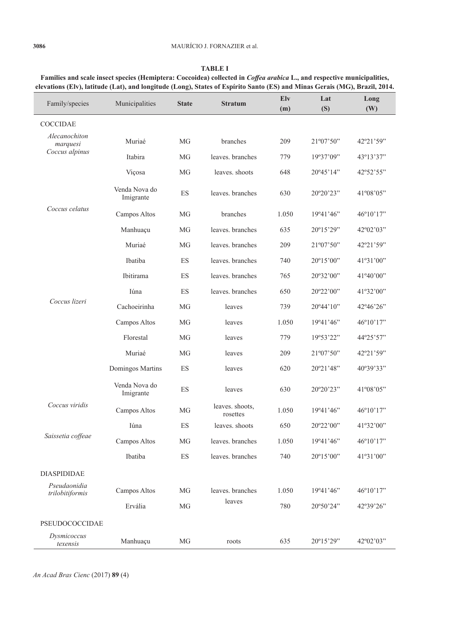| Family/species                              | Municipalities             | <b>State</b> | <b>Stratum</b>              | Elv<br>(m) | Lat<br>(S) | Long<br>(W)                 |
|---------------------------------------------|----------------------------|--------------|-----------------------------|------------|------------|-----------------------------|
| <b>COCCIDAE</b>                             |                            |              |                             |            |            |                             |
| Alecanochiton<br>marquesi<br>Coccus alpinus | Muriaé                     | <b>MG</b>    | branches                    | 209        | 21°07'50"  | 42°21'59"                   |
|                                             | Itabira                    | MG           | leaves. branches            | 779        | 19°37'09"  | 43°13'37"                   |
|                                             | Viçosa                     | MG           | leaves. shoots              | 648        | 20°45'14"  | 42°52'55"                   |
|                                             | Venda Nova do<br>Imigrante | ES           | leaves, branches            | 630        | 20°20'23"  | 41°08'05"                   |
| Coccus celatus                              | Campos Altos               | <b>MG</b>    | branches                    | 1.050      | 19°41'46"  | 46°10'17"                   |
|                                             | Manhuaçu                   | MG           | leaves, branches            | 635        | 20°15'29"  | $42^{\circ}02^{\prime}03$ " |
|                                             | Muriaé                     | MG           | leaves, branches            | 209        | 21°07'50"  | 42°21'59"                   |
|                                             | Ibatiba                    | ES           | leaves. branches            | 740        | 20°15'00"  | 41°31'00"                   |
|                                             | <b>Ibitirama</b>           | ES           | leaves, branches            | 765        | 20°32'00"  | 41°40'00"                   |
| Coccus lizeri                               | Iúna                       | ES           | leaves, branches            | 650        | 20°22'00"  | 41°32'00"                   |
|                                             | Cachoeirinha               | MG           | leaves                      | 739        | 20°44'10"  | 42°46'26"                   |
|                                             | Campos Altos               | MG           | leaves                      | 1.050      | 19°41'46"  | 46°10'17"                   |
|                                             | Florestal                  | MG           | leaves                      | 779        | 19°53'22"  | 44°25'57"                   |
|                                             | Muriaé                     | <b>MG</b>    | leaves                      | 209        | 21°07'50"  | 42°21'59"                   |
|                                             | Domingos Martins           | ES           | leaves                      | 620        | 20°21'48"  | 40°39'33"                   |
|                                             | Venda Nova do<br>Imigrante | ES           | leaves                      | 630        | 20°20'23"  | 41°08'05"                   |
| Coccus viridis                              | Campos Altos               | MG           | leaves. shoots,<br>rosettes | 1.050      | 19°41'46"  | 46°10'17"                   |
| Saissetia coffeae                           | Iúna                       | ES           | leaves, shoots              | 650        | 20°22'00"  | 41°32'00"                   |
|                                             | Campos Altos               | MG           | leaves. branches            | 1.050      | 19°41'46"  | 46°10'17"                   |
|                                             | Ibatiba                    | ES           | leaves. branches            | 740        | 20°15'00"  | 41°31'00"                   |
| <b>DIASPIDIDAE</b>                          |                            |              |                             |            |            |                             |
| Pseudaonidia<br>trilobitiformis             | Campos Altos               | MG           | leaves, branches<br>leaves  | 1.050      | 19°41'46"  | 46°10'17"                   |
|                                             | Ervália                    | MG           |                             | 780        | 20°50'24"  | 42°39'26"                   |
|                                             |                            |              |                             |            |            |                             |

*texensis* Manhuaçu MG roots 635 20º15'29" 42º02'03"

|--|--|--|

**Families and scale insect species (Hemiptera: Coccoidea) collected in** *Coffea arabica* **L., and respective municipalities, elevations (Elv), latitude (Lat), and longitude (Long), States of Espírito Santo (ES) and Minas Gerais (MG), Brazil, 2014.**

PSEUDOCOCCIDAE

*Dysmicoccus*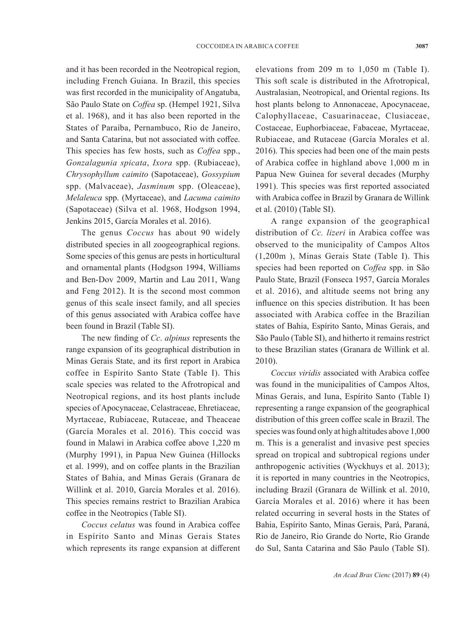and it has been recorded in the Neotropical region, including French Guiana. In Brazil, this species was first recorded in the municipality of Angatuba, São Paulo State on *Coffea* sp. (Hempel 1921, Silva et al. 1968), and it has also been reported in the States of Paraíba, Pernambuco, Rio de Janeiro, and Santa Catarina, but not associated with coffee. This species has few hosts, such as *Coffea* spp., *Gonzalagunia spicata*, *Ixora* spp. (Rubiaceae), *Chrysophyllum caimito* (Sapotaceae), *Gossypium* spp. (Malvaceae), *Jasminum* spp. (Oleaceae), *Melaleuca* spp. (Myrtaceae), and *Lacuma caimito*  (Sapotaceae) (Silva et al. 1968, Hodgson 1994, Jenkins 2015, García Morales et al. 2016).

The genus *Coccus* has about 90 widely distributed species in all zoogeographical regions. Some species of this genus are pests in horticultural and ornamental plants (Hodgson 1994, Williams and Ben-Dov 2009, Martin and Lau 2011, Wang and Feng 2012). It is the second most common genus of this scale insect family, and all species of this genus associated with Arabica coffee have been found in Brazil (Table SI).

The new finding of *Cc*. *alpinus* represents the range expansion of its geographical distribution in Minas Gerais State, and its first report in Arabica coffee in Espírito Santo State (Table I). This scale species was related to the Afrotropical and Neotropical regions, and its host plants include species of Apocynaceae, Celastraceae, Ehretiaceae, Myrtaceae, Rubiaceae, Rutaceae, and Theaceae (García Morales et al. 2016). This coccid was found in Malawi in Arabica coffee above 1,220 m (Murphy 1991), in Papua New Guinea (Hillocks et al. 1999), and on coffee plants in the Brazilian States of Bahia, and Minas Gerais (Granara de Willink et al. 2010, García Morales et al. 2016). This species remains restrict to Brazilian Arabica coffee in the Neotropics (Table SI).

*Coccus celatus* was found in Arabica coffee in Espírito Santo and Minas Gerais States which represents its range expansion at different

elevations from 209 m to 1,050 m (Table I). This soft scale is distributed in the Afrotropical, Australasian, Neotropical, and Oriental regions. Its host plants belong to Annonaceae, Apocynaceae, Calophyllaceae, Casuarinaceae, Clusiaceae, Costaceae, Euphorbiaceae, Fabaceae, Myrtaceae, Rubiaceae, and Rutaceae (García Morales et al. 2016). This species had been one of the main pests of Arabica coffee in highland above 1,000 m in Papua New Guinea for several decades (Murphy 1991). This species was first reported associated with Arabica coffee in Brazil by Granara de Willink et al. (2010) (Table SI).

A range expansion of the geographical distribution of *Cc. lizeri* in Arabica coffee was observed to the municipality of Campos Altos (1,200m ), Minas Gerais State (Table I). This species had been reported on *Coffea* spp. in São Paulo State, Brazil (Fonseca 1957, García Morales et al. 2016), and altitude seems not bring any influence on this species distribution. It has been associated with Arabica coffee in the Brazilian states of Bahia, Espírito Santo, Minas Gerais, and São Paulo (Table SI), and hitherto it remains restrict to these Brazilian states (Granara de Willink et al. 2010).

*Coccus viridis* associated with Arabica coffee was found in the municipalities of Campos Altos, Minas Gerais, and Iuna, Espírito Santo (Table I) representing a range expansion of the geographical distribution of this green coffee scale in Brazil. The species was found only at high altitudes above 1,000 m. This is a generalist and invasive pest species spread on tropical and subtropical regions under anthropogenic activities (Wyckhuys et al. 2013); it is reported in many countries in the Neotropics, including Brazil (Granara de Willink et al. 2010, García Morales et al. 2016) where it has been related occurring in several hosts in the States of Bahia, Espírito Santo, Minas Gerais, Pará, Paraná, Rio de Janeiro, Rio Grande do Norte, Rio Grande do Sul, Santa Catarina and São Paulo (Table SI).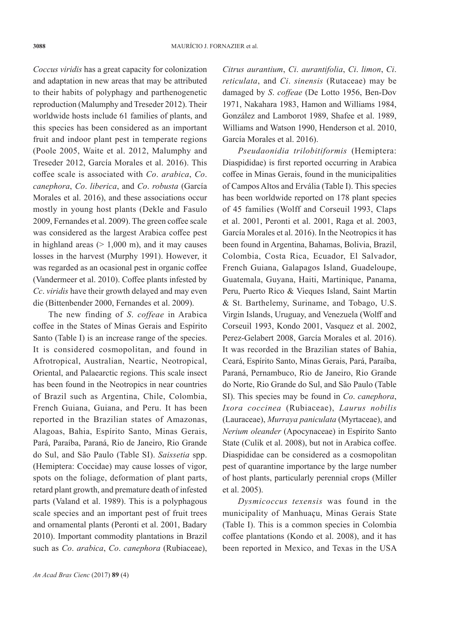*Coccus viridis* has a great capacity for colonization and adaptation in new areas that may be attributed to their habits of polyphagy and parthenogenetic reproduction (Malumphy and Treseder 2012). Their worldwide hosts include 61 families of plants, and this species has been considered as an important fruit and indoor plant pest in temperate regions (Poole 2005, Waite et al. 2012, Malumphy and Treseder 2012, García Morales et al. 2016). This coffee scale is associated with *Co*. *arabica*, *Co*. *canephora*, *Co*. *liberica*, and *Co*. *robusta* (García Morales et al. 2016), and these associations occur mostly in young host plants (Dekle and Fasulo 2009, Fernandes et al. 2009). The green coffee scale was considered as the largest Arabica coffee pest in highland areas  $(> 1,000 \text{ m})$ , and it may causes losses in the harvest (Murphy 1991). However, it was regarded as an ocasional pest in organic coffee (Vandermeer et al. 2010). Coffee plants infested by *Cc*. *viridis* have their growth delayed and may even die (Bittenbender 2000, Fernandes et al. 2009).

The new finding of *S*. *coffeae* in Arabica coffee in the States of Minas Gerais and Espírito Santo (Table I) is an increase range of the species. It is considered cosmopolitan, and found in Afrotropical, Australian, Neartic, Neotropical, Oriental, and Palaearctic regions. This scale insect has been found in the Neotropics in near countries of Brazil such as Argentina, Chile, Colombia, French Guiana, Guiana, and Peru. It has been reported in the Brazilian states of Amazonas, Alagoas, Bahia, Espírito Santo, Minas Gerais, Pará, Paraíba, Paraná, Rio de Janeiro, Rio Grande do Sul, and São Paulo (Table SI). *Saissetia* spp. (Hemiptera: Coccidae) may cause losses of vigor, spots on the foliage, deformation of plant parts, retard plant growth, and premature death of infested parts (Valand et al. 1989). This is a polyphagous scale species and an important pest of fruit trees and ornamental plants (Peronti et al. 2001, Badary 2010). Important commodity plantations in Brazil such as *Co*. *arabica*, *Co*. *canephora* (Rubiaceae), *Citrus aurantium*, *Ci*. *aurantifolia*, *Ci*. *limon*, *Ci*. *reticulata*, and *Ci*. *sinensis* (Rutaceae) may be damaged by *S*. *coffeae* (De Lotto 1956, Ben-Dov 1971, Nakahara 1983, Hamon and Williams 1984, González and Lamborot 1989, Shafee et al. 1989, Williams and Watson 1990, Henderson et al. 2010, García Morales et al. 2016).

*Pseudaonidia trilobitiformis* (Hemiptera: Diaspididae) is first reported occurring in Arabica coffee in Minas Gerais, found in the municipalities of Campos Altos and Ervália (Table I). This species has been worldwide reported on 178 plant species of 45 families (Wolff and Corseuil 1993, Claps et al. 2001, Peronti et al. 2001, Raga et al. 2003, García Morales et al. 2016). In the Neotropics it has been found in Argentina, Bahamas, Bolivia, Brazil, Colombia, Costa Rica, Ecuador, El Salvador, French Guiana, Galapagos Island, Guadeloupe, Guatemala, Guyana, Haiti, Martinique, Panama, Peru, Puerto Rico & Vieques Island, Saint Martin & St. Barthelemy, Suriname, and Tobago, U.S. Virgin Islands, Uruguay, and Venezuela (Wolff and Corseuil 1993, Kondo 2001, Vasquez et al. 2002, Perez-Gelabert 2008, García Morales et al. 2016). It was recorded in the Brazilian states of Bahia, Ceará, Espírito Santo, Minas Gerais, Pará, Paraíba, Paraná, Pernambuco, Rio de Janeiro, Rio Grande do Norte, Rio Grande do Sul, and São Paulo (Table SI). This species may be found in *Co*. *canephora*, *Ixora coccinea* (Rubiaceae), *Laurus nobilis* (Lauraceae), *Murraya paniculata* (Myrtaceae), and *Nerium oleander* (Apocynaceae) in Espírito Santo State (Culik et al. 2008), but not in Arabica coffee. Diaspididae can be considered as a cosmopolitan pest of quarantine importance by the large number of host plants, particularly perennial crops (Miller et al. 2005).

*Dysmicoccus texensis* was found in the municipality of Manhuaçu, Minas Gerais State (Table I). This is a common species in Colombia coffee plantations (Kondo et al. 2008), and it has been reported in Mexico, and Texas in the USA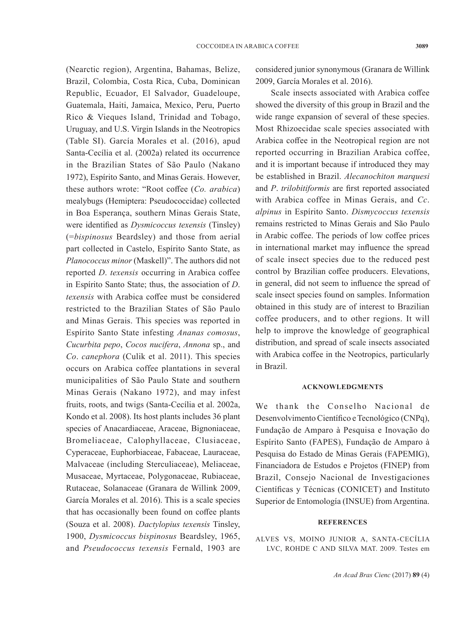(Nearctic region), Argentina, Bahamas, Belize, Brazil, Colombia, Costa Rica, Cuba, Dominican Republic, Ecuador, El Salvador, Guadeloupe, Guatemala, Haiti, Jamaica, Mexico, Peru, Puerto Rico & Vieques Island, Trinidad and Tobago, Uruguay, and U.S. Virgin Islands in the Neotropics (Table SI). García Morales et al. (2016), apud Santa-Cecília et al. (2002a) related its occurrence in the Brazilian States of São Paulo (Nakano 1972), Espírito Santo, and Minas Gerais. However, these authors wrote: "Root coffee (*Co. arabica*) mealybugs (Hemiptera: Pseudococcidae) collected in Boa Esperança, southern Minas Gerais State, were identified as *Dysmicoccus texensis* (Tinsley) (=*bispinosus* Beardsley) and those from aerial part collected in Castelo, Espírito Santo State, as *Planococcus minor* (Maskell)". The authors did not reported *D*. *texensis* occurring in Arabica coffee in Espírito Santo State; thus, the association of *D*. *texensis* with Arabica coffee must be considered restricted to the Brazilian States of São Paulo and Minas Gerais. This species was reported in Espírito Santo State infesting *Ananas comosus*, *Cucurbita pepo*, *Cocos nucifera*, *Annona* sp., and *Co*. *canephora* (Culik et al. 2011). This species occurs on Arabica coffee plantations in several municipalities of São Paulo State and southern Minas Gerais (Nakano 1972), and may infest fruits, roots, and twigs (Santa-Cecília et al. 2002a, Kondo et al. 2008). Its host plants includes 36 plant species of Anacardiaceae, Araceae, Bignoniaceae, Bromeliaceae, Calophyllaceae, Clusiaceae, Cyperaceae, Euphorbiaceae, Fabaceae, Lauraceae, Malvaceae (including Sterculiaceae), Meliaceae, Musaceae, Myrtaceae, Polygonaceae, Rubiaceae, Rutaceae, Solanaceae (Granara de Willink 2009, García Morales et al. 2016). This is a scale species that has occasionally been found on coffee plants (Souza et al. 2008). *Dactylopius texensis* Tinsley, 1900, *Dysmicoccus bispinosus* Beardsley, 1965, and *Pseudococcus texensis* Fernald, 1903 are

considered junior synonymous (Granara de Willink 2009, García Morales et al. 2016).

Scale insects associated with Arabica coffee showed the diversity of this group in Brazil and the wide range expansion of several of these species. Most Rhizoecidae scale species associated with Arabica coffee in the Neotropical region are not reported occurring in Brazilian Arabica coffee, and it is important because if introduced they may be established in Brazil. *Alecanochiton marquesi*  and *P*. *trilobitiformis* are first reported associated with Arabica coffee in Minas Gerais, and *Cc*. *alpinus* in Espírito Santo. *Dismycoccus texensis* remains restricted to Minas Gerais and São Paulo in Arabic coffee. The periods of low coffee prices in international market may influence the spread of scale insect species due to the reduced pest control by Brazilian coffee producers. Elevations, in general, did not seem to influence the spread of scale insect species found on samples. Information obtained in this study are of interest to Brazilian coffee producers, and to other regions. It will help to improve the knowledge of geographical distribution, and spread of scale insects associated with Arabica coffee in the Neotropics, particularly in Brazil.

## **ACKNOWLEDGMENTS**

We thank the Conselho Nacional de Desenvolvimento Científico e Tecnológico (CNPq), Fundação de Amparo à Pesquisa e Inovação do Espírito Santo (FAPES), Fundação de Amparo à Pesquisa do Estado de Minas Gerais (FAPEMIG), Financiadora de Estudos e Projetos (FINEP) from Brazil, Consejo Nacional de Investigaciones Científicas y Técnicas (CONICET) and Instituto Superior de Entomología (INSUE) from Argentina.

#### **REFERENCES**

ALVES VS, MOINO JUNIOR A, SANTA-CECÍLIA LVC, ROHDE C AND SILVA MAT. 2009. Testes em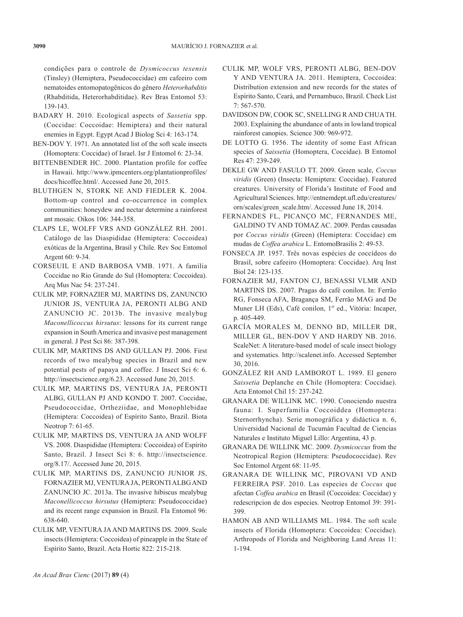condições para o controle de *Dysmicoccus texensis*  (Tinsley) (Hemiptera, Pseudococcidae) em cafeeiro com nematoides entomopatogênicos do gênero *Heterorhabditis*  (Rhabditida, Heterorhabditidae). Rev Bras Entomol 53: 139-143.

- BADARY H. 2010. Ecological aspects of *Sassetia* spp. (Coccidae: Coccoidae: Hemiptera) and their natural enemies in Egypt. Egypt Acad J Biolog Sci 4: 163-174.
- BEN-DOV Y. 1971. An annotated list of the soft scale insects (Homoptera: Coccidae) of Israel. Isr J Entomol 6: 23-34.
- BITTENBENDER HC. 2000. Plantation profile for coffee in Hawaii. http://www.ipmcenters.org/plantationprofiles/ docs/hicoffee.html/. Accessed June 20, 2015.
- BLUTHGEN N, STORK NE AND FIEDLER K. 2004. Bottom-up control and co-occurrence in complex communities: honeydew and nectar determine a rainforest ant mosaic. Oikos 106: 344-358.
- CLAPS LE, WOLFF VRS AND GONZÁLEZ RH. 2001. Catálogo de las Diaspididae (Hemiptera: Coccoidea) exóticas de la Argentina, Brasil y Chile. Rev Soc Entomol Argent 60: 9-34.
- CORSEUIL E AND BARBOSA VMB. 1971. A família Coccidae no Rio Grande do Sul (Homoptera: Coccoidea). Arq Mus Nac 54: 237-241.
- CULIK MP, FORNAZIER MJ, MARTINS DS, ZANUNCIO JUNIOR JS, VENTURA JA, PERONTI ALBG AND ZANUNCIO JC. 2013b. The invasive mealybug *Maconellicoccus hirsutus*: lessons for its current range expansion in South America and invasive pest management in general. J Pest Sci 86: 387-398.
- CULIK MP, MARTINS DS AND GULLAN PJ. 2006. First records of two mealybug species in Brazil and new potential pests of papaya and coffee. J Insect Sci 6: 6. http://insectscience.org/6.23. Accessed June 20, 2015.
- CULIK MP, MARTINS DS, VENTURA JA, PERONTI ALBG, GULLAN PJ AND KONDO T. 2007. Coccidae, Pseudococcidae, Ortheziidae, and Monophlebidae (Hemiptera: Coccoidea) of Espírito Santo, Brazil. Biota Neotrop 7: 61-65.
- CULIK MP, MARTINS DS, VENTURA JA AND WOLFF VS. 2008. Diaspididae (Hemiptera: Coccoidea) of Espírito Santo, Brazil. J Insect Sci 8: 6. http://insectscience. org/8.17/. Accessed June 20, 2015.
- CULIK MP, MARTINS DS, ZANUNCIO JUNIOR JS, FORNAZIER MJ, VENTURA JA, PERONTI ALBG AND ZANUNCIO JC. 2013a. The invasive hibiscus mealybug *Maconellicoccus hirsutus* (Hemiptera: Pseudococcidae) and its recent range expansion in Brazil. Fla Entomol 96: 638-640.
- CULIK MP, VENTURA JA AND MARTINS DS. 2009. Scale insects (Hemiptera: Coccoidea) of pineapple in the State of Espírito Santo, Brazil. Acta Hortic 822: 215-218.
- CULIK MP, WOLF VRS, PERONTI ALBG, BEN-DOV Y AND VENTURA JA. 2011. Hemiptera, Coccoidea: Distribution extension and new records for the states of Espírito Santo, Ceará, and Pernambuco, Brazil. Check List 7: 567-570.
- DAVIDSON DW, COOK SC, SNELLING R AND CHUA TH. 2003. Explaining the abundance of ants in lowland tropical rainforest canopies. Science 300: 969-972.
- DE LOTTO G. 1956. The identity of some East African species of *Saissetia* (Homoptera, Coccidae). B Entomol Res 47: 239-249.
- DEKLE GW AND FASULO TT. 2009. Green scale, *Coccus viridis* (Green) (Insecta: Hemiptera: Coccidae). Featured creatures. University of Florida's Institute of Food and Agricultural Sciences. http://entnemdept.ufl.edu/creatures/ orn/scales/green\_scale.htm/. Accessed June 18, 2014.
- FERNANDES FL, PICANÇO MC, FERNANDES ME, GALDINO TV AND TOMAZ AC. 2009. Perdas causadas por *Coccus viridis* (Green) (Hemiptera: Coccidae) em mudas de *Coffea arabica* L. EntomoBrasilis 2: 49-53.
- FONSECA JP. 1957. Três novas espécies de coccídeos do Brasil, sobre cafeeiro (Homoptera: Coccidae). Arq Inst Biol 24: 123-135.
- FORNAZIER MJ, FANTON CJ, BENASSI VLMR AND MARTINS DS. 2007. Pragas do café conilon. In: Ferrão RG, Fonseca AFA, Bragança SM, Ferrão MAG and De Muner LH (Eds), Café conilon, 1<sup>st</sup> ed., Vitória: Incaper, p. 405-449.
- GARCÍA MORALES M, DENNO BD, MILLER DR, MILLER GL, BEN-DOV Y AND HARDY NB. 2016. ScaleNet: A literature-based model of scale insect biology and systematics*.* http://scalenet.info. Accessed September 30, 2016.
- GONZÁLEZ RH AND LAMBOROT L. 1989. El genero *Saissetia* Deplanche en Chile (Homoptera: Coccidae). Acta Entomol Chil 15: 237-242.
- GRANARA DE WILLINK MC. 1990. Conociendo nuestra fauna: I. Superfamilia Coccoiddea (Homoptera: Sternorrhyncha). Serie monográfica y didáctica n. 6, Universidad Nacional de Tucumán Facultad de Ciencias Naturales e Instituto Miguel Lillo: Argentina, 43 p.
- GRANARA DE WILLINK MC. 2009. *Dysmicoccus* from the Neotropical Region (Hemiptera: Pseudococcidae). Rev Soc Entomol Argent 68: 11-95.
- GRANARA DE WILLINK MC, PIROVANI VD AND FERREIRA PSF. 2010. Las especies de *Coccus* que afectan *Coffea arabica* en Brasil (Coccoidea: Coccidae) y redescripcion de dos especies. Neotrop Entomol 39: 391- 399.
- HAMON AB AND WILLIAMS ML. 1984. The soft scale insects of Florida (Homoptera: Coccoidea: Coccidae). Arthropods of Florida and Neighboring Land Areas 11: 1-194.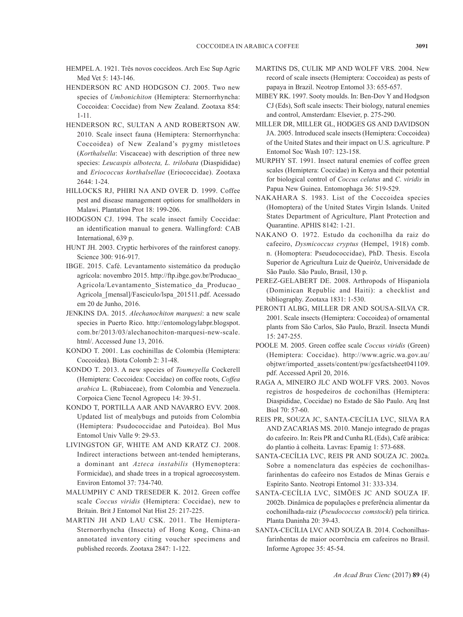- HEMPEL A. 1921. Três novos coccídeos. Arch Esc Sup Agric Med Vet 5: 143-146.
- HENDERSON RC AND HODGSON CJ. 2005. Two new species of *Umbonichiton* (Hemiptera: Sternorrhyncha: Coccoidea: Coccidae) from New Zealand. Zootaxa 854: 1-11.
- HENDERSON RC, SULTAN A AND ROBERTSON AW. 2010. Scale insect fauna (Hemiptera: Sternorrhyncha: Coccoidea) of New Zealand's pygmy mistletoes (*Korthalsella*: Viscaceae) with description of three new species: *Leucaspis albotecta, L. trilobata* (Diaspididae) and *Eriococcus korthalsellae* (Eriococcidae). Zootaxa 2644: 1-24.
- HILLOCKS RJ, PHIRI NA AND OVER D. 1999. Coffee pest and disease management options for smallholders in Malawi. Plantation Prot 18: 199-206.
- HODGSON CJ. 1994. The scale insect family Coccidae: an identification manual to genera. Wallingford: CAB International, 639 p.
- HUNT JH. 2003. Cryptic herbivores of the rainforest canopy. Science 300: 916-917.
- IBGE. 2015. Café. Levantamento sistemático da produção agrícola: novembro 2015. http://ftp.ibge.gov.br/Producao\_ Agricola/Levantamento\_Sistematico\_da\_Producao\_ Agricola\_[mensal]/Fasciculo/lspa\_201511.pdf. Acessado em 20 de Junho, 2016.
- JENKINS DA. 2015. *Alechanochiton marquesi*: a new scale species in Puerto Rico. http://entomologylabpr.blogspot. com.br/2013/03/alechanochiton-marquesi-new-scale. html/. Accessed June 13, 2016.
- KONDO T. 2001. Las cochinillas de Colombia (Hemiptera: Coccoidea). Biota Colomb 2: 31-48.
- KONDO T. 2013. A new species of *Toumeyella* Cockerell (Hemiptera: Coccoidea: Coccidae) on coffee roots, *Coffea arabica* L. (Rubiaceae), from Colombia and Venezuela. Corpoica Cienc Tecnol Agropecu 14: 39-51.
- KONDO T, PORTILLA AAR AND NAVARRO EVV. 2008. Updated list of mealybugs and putoids from Colombia (Hemiptera: Psudococcidae and Putoidea). Bol Mus Entomol Univ Valle 9: 29-53.
- LIVINGSTON GF, WHITE AM AND KRATZ CJ. 2008. Indirect interactions between ant-tended hemipterans, a dominant ant *Azteca instabilis* (Hymenoptera: Formicidae), and shade trees in a tropical agroecosystem. Environ Entomol 37: 734-740.
- MALUMPHY C AND TRESEDER K. 2012. Green coffee scale *Coccus viridis* (Hemiptera: Coccidae), new to Britain. Brit J Entomol Nat Hist 25: 217-225.
- MARTIN JH AND LAU CSK. 2011. The Hemiptera-Sternorrhyncha (Insecta) of Hong Kong, China-an annotated inventory citing voucher specimens and published records. Zootaxa 2847: 1-122.
- MARTINS DS, CULIK MP AND WOLFF VRS. 2004. New record of scale insects (Hemiptera: Coccoidea) as pests of papaya in Brazil. Neotrop Entomol 33: 655-657.
- MIBEY RK. 1997. Sooty moulds. In: Ben-Dov Y and Hodgson CJ (Eds), Soft scale insects: Their biology, natural enemies and control, Amsterdam: Elsevier, p. 275-290.
- MILLER DR, MILLER GL, HODGES GS AND DAVIDSON JA. 2005. Introduced scale insects (Hemiptera: Coccoidea) of the United States and their impact on U.S. agriculture. P Entomol Soc Wash 107: 123-158.
- MURPHY ST. 1991. Insect natural enemies of coffee green scales (Hemiptera: Coccidae) in Kenya and their potential for biological control of *Coccus celatus* and *C*. *viridis* in Papua New Guinea. Entomophaga 36: 519-529.
- NAKAHARA S. 1983. List of the Coccoidea species (Homoptera) of the United States Virgin Islands. United States Department of Agriculture, Plant Protection and Quarantine. APHIS 8142: 1-21.
- NAKANO O. 1972. Estudo da cochonilha da raiz do cafeeiro, *Dysmicoccus cryptus* (Hempel, 1918) comb. n. (Homoptera: Pseudococcidae), PhD. Thesis. Escola Superior de Agricultura Luiz de Queiróz, Universidade de São Paulo. São Paulo, Brasil, 130 p.
- PEREZ-GELABERT DE. 2008. Arthropods of Hispaniola (Dominican Republic and Haiti): a checklist and bibliography. Zootaxa 1831: 1-530.
- PERONTI ALBG, MILLER DR AND SOUSA-SILVA CR. 2001. Scale insects (Hemiptera: Coccoidea) of ornamental plants from São Carlos, São Paulo, Brazil. Insecta Mundi 15: 247-255.
- POOLE M. 2005. Green coffee scale *Coccus viridis* (Green) (Hemiptera: Coccidae). http://www.agric.wa.gov.au/ objtwr/imported\_assets/content/pw/gcsfactsheet041109. pdf. Accessed April 20, 2016.
- RAGA A, MINEIRO JLC AND WOLFF VRS. 2003. Novos registros de hospedeiros de cochonilhas (Hemiptera: Diaspididae, Coccidae) no Estado de São Paulo. Arq Inst Biol 70: 57-60.
- REIS PR, SOUZA JC, SANTA-CECÍLIA LVC, SILVA RA AND ZACARIAS MS. 2010. Manejo integrado de pragas do cafeeiro. In: Reis PR and Cunha RL (Eds), Café arábica: do plantio à colheita. Lavras: Epamig 1: 573-688.
- SANTA-CECÍLIA LVC, REIS PR AND SOUZA JC. 2002a. Sobre a nomenclatura das espécies de cochonilhasfarinhentas do cafeeiro nos Estados de Minas Gerais e Espírito Santo. Neotropi Entomol 31: 333-334.
- SANTA-CECÍLIA LVC, SIMÕES JC AND SOUZA IF. 2002b. Dinâmica de populações e preferência alimentar da cochonilhada-raiz (*Pseudococcus comstocki*) pela tiririca. Planta Daninha 20: 39-43.
- SANTA-CECÍLIA LVC AND SOUZA B. 2014. Cochonilhasfarinhentas de maior ocorrência em cafeeiros no Brasil. Informe Agropec 35: 45-54.